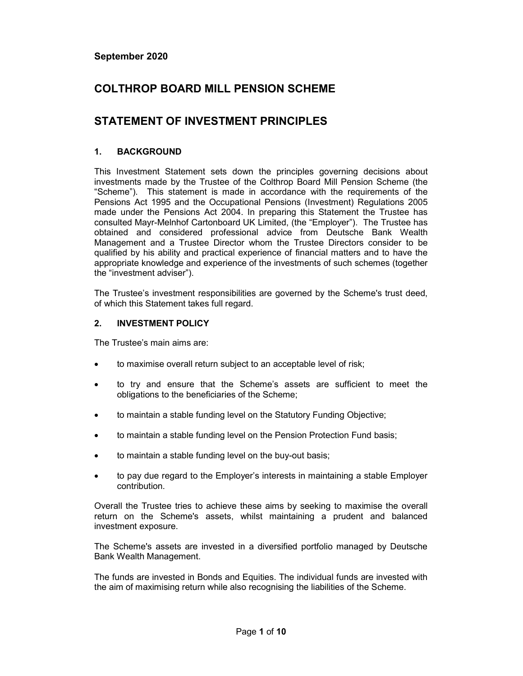# COLTHROP BOARD MILL PENSION SCHEME

# STATEMENT OF INVESTMENT PRINCIPLES

### 1. BACKGROUND

This Investment Statement sets down the principles governing decisions about investments made by the Trustee of the Colthrop Board Mill Pension Scheme (the "Scheme"). This statement is made in accordance with the requirements of the Pensions Act 1995 and the Occupational Pensions (Investment) Regulations 2005 made under the Pensions Act 2004. In preparing this Statement the Trustee has consulted Mayr-Melnhof Cartonboard UK Limited, (the "Employer"). The Trustee has obtained and considered professional advice from Deutsche Bank Wealth Management and a Trustee Director whom the Trustee Directors consider to be qualified by his ability and practical experience of financial matters and to have the appropriate knowledge and experience of the investments of such schemes (together the "investment adviser").

The Trustee's investment responsibilities are governed by the Scheme's trust deed, of which this Statement takes full regard.

#### 2. INVESTMENT POLICY

The Trustee's main aims are:

- to maximise overall return subject to an acceptable level of risk;
- to try and ensure that the Scheme's assets are sufficient to meet the obligations to the beneficiaries of the Scheme;
- to maintain a stable funding level on the Statutory Funding Objective;
- to maintain a stable funding level on the Pension Protection Fund basis;
- to maintain a stable funding level on the buy-out basis;
- to pay due regard to the Employer's interests in maintaining a stable Employer contribution.

Overall the Trustee tries to achieve these aims by seeking to maximise the overall return on the Scheme's assets, whilst maintaining a prudent and balanced investment exposure.

The Scheme's assets are invested in a diversified portfolio managed by Deutsche Bank Wealth Management.

The funds are invested in Bonds and Equities. The individual funds are invested with the aim of maximising return while also recognising the liabilities of the Scheme.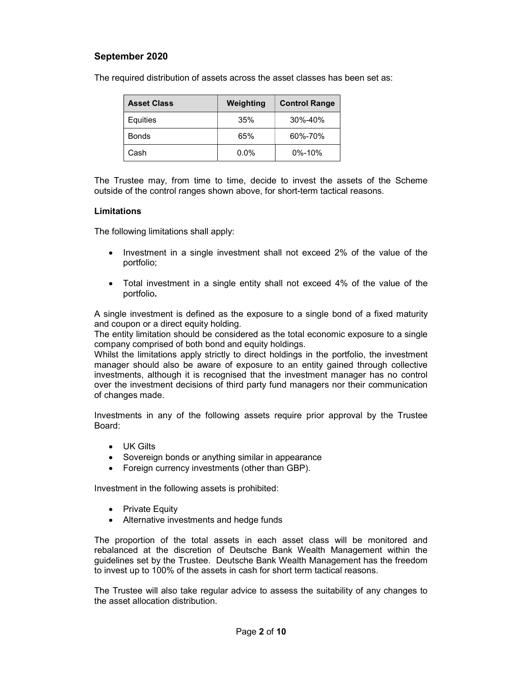| <b>Asset Class</b> | Weighting | <b>Control Range</b> |
|--------------------|-----------|----------------------|
| Equities           | 35%       | 30%-40%              |
| <b>Bonds</b>       | 65%       | 60%-70%              |
| Cash               | $0.0\%$   | $0\% - 10\%$         |

The required distribution of assets across the asset classes has been set as:

The Trustee may, from time to time, decide to invest the assets of the Scheme outside of the control ranges shown above, for short-term tactical reasons.

#### Limitations

The following limitations shall apply:

- Investment in a single investment shall not exceed 2% of the value of the portfolio;
- Total investment in a single entity shall not exceed 4% of the value of the portfolio.

A single investment is defined as the exposure to a single bond of a fixed maturity and coupon or a direct equity holding.

The entity limitation should be considered as the total economic exposure to a single company comprised of both bond and equity holdings.

Whilst the limitations apply strictly to direct holdings in the portfolio, the investment manager should also be aware of exposure to an entity gained through collective investments, although it is recognised that the investment manager has no control over the investment decisions of third party fund managers nor their communication of changes made.

Investments in any of the following assets require prior approval by the Trustee Board:

- UK Gilts
- Sovereign bonds or anything similar in appearance
- Foreign currency investments (other than GBP).

Investment in the following assets is prohibited:

- Private Equity
- Alternative investments and hedge funds

The proportion of the total assets in each asset class will be monitored and rebalanced at the discretion of Deutsche Bank Wealth Management within the guidelines set by the Trustee. Deutsche Bank Wealth Management has the freedom to invest up to 100% of the assets in cash for short term tactical reasons.

The Trustee will also take regular advice to assess the suitability of any changes to the asset allocation distribution.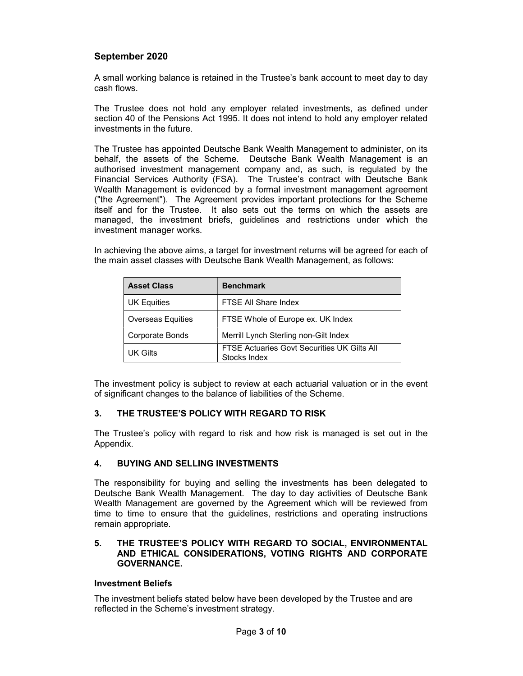A small working balance is retained in the Trustee's bank account to meet day to day cash flows.

The Trustee does not hold any employer related investments, as defined under section 40 of the Pensions Act 1995. It does not intend to hold any employer related investments in the future.

The Trustee has appointed Deutsche Bank Wealth Management to administer, on its behalf, the assets of the Scheme. Deutsche Bank Wealth Management is an authorised investment management company and, as such, is regulated by the Financial Services Authority (FSA). The Trustee's contract with Deutsche Bank Wealth Management is evidenced by a formal investment management agreement ("the Agreement"). The Agreement provides important protections for the Scheme itself and for the Trustee. It also sets out the terms on which the assets are managed, the investment briefs, guidelines and restrictions under which the investment manager works.

In achieving the above aims, a target for investment returns will be agreed for each of the main asset classes with Deutsche Bank Wealth Management, as follows:

| <b>Asset Class</b>       | <b>Benchmark</b>                                            |  |
|--------------------------|-------------------------------------------------------------|--|
| <b>UK Equities</b>       | FTSE All Share Index                                        |  |
| <b>Overseas Equities</b> | FTSE Whole of Europe ex. UK Index                           |  |
| Corporate Bonds          | Merrill Lynch Sterling non-Gilt Index                       |  |
| UK Gilts                 | FTSE Actuaries Govt Securities UK Gilts All<br>Stocks Index |  |

The investment policy is subject to review at each actuarial valuation or in the event of significant changes to the balance of liabilities of the Scheme.

#### 3. THE TRUSTEE'S POLICY WITH REGARD TO RISK

The Trustee's policy with regard to risk and how risk is managed is set out in the Appendix.

#### 4. BUYING AND SELLING INVESTMENTS

The responsibility for buying and selling the investments has been delegated to Deutsche Bank Wealth Management. The day to day activities of Deutsche Bank Wealth Management are governed by the Agreement which will be reviewed from time to time to ensure that the guidelines, restrictions and operating instructions remain appropriate.

#### 5. THE TRUSTEE'S POLICY WITH REGARD TO SOCIAL, ENVIRONMENTAL AND ETHICAL CONSIDERATIONS, VOTING RIGHTS AND CORPORATE GOVERNANCE.

#### Investment Beliefs

The investment beliefs stated below have been developed by the Trustee and are reflected in the Scheme's investment strategy.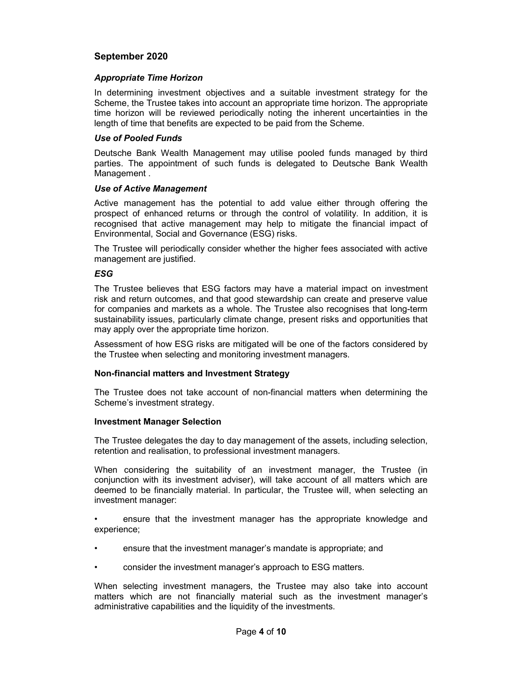#### Appropriate Time Horizon

In determining investment objectives and a suitable investment strategy for the Scheme, the Trustee takes into account an appropriate time horizon. The appropriate time horizon will be reviewed periodically noting the inherent uncertainties in the length of time that benefits are expected to be paid from the Scheme.

#### Use of Pooled Funds

Deutsche Bank Wealth Management may utilise pooled funds managed by third parties. The appointment of such funds is delegated to Deutsche Bank Wealth Management .

#### Use of Active Management

Active management has the potential to add value either through offering the prospect of enhanced returns or through the control of volatility. In addition, it is recognised that active management may help to mitigate the financial impact of Environmental, Social and Governance (ESG) risks.

The Trustee will periodically consider whether the higher fees associated with active management are justified.

#### ESG

The Trustee believes that ESG factors may have a material impact on investment risk and return outcomes, and that good stewardship can create and preserve value for companies and markets as a whole. The Trustee also recognises that long-term sustainability issues, particularly climate change, present risks and opportunities that may apply over the appropriate time horizon.

Assessment of how ESG risks are mitigated will be one of the factors considered by the Trustee when selecting and monitoring investment managers.

#### Non-financial matters and Investment Strategy

The Trustee does not take account of non-financial matters when determining the Scheme's investment strategy.

#### Investment Manager Selection

The Trustee delegates the day to day management of the assets, including selection, retention and realisation, to professional investment managers.

When considering the suitability of an investment manager, the Trustee (in conjunction with its investment adviser), will take account of all matters which are deemed to be financially material. In particular, the Trustee will, when selecting an investment manager:

• ensure that the investment manager has the appropriate knowledge and experience;

- ensure that the investment manager's mandate is appropriate; and
- consider the investment manager's approach to ESG matters.

When selecting investment managers, the Trustee may also take into account matters which are not financially material such as the investment manager's administrative capabilities and the liquidity of the investments.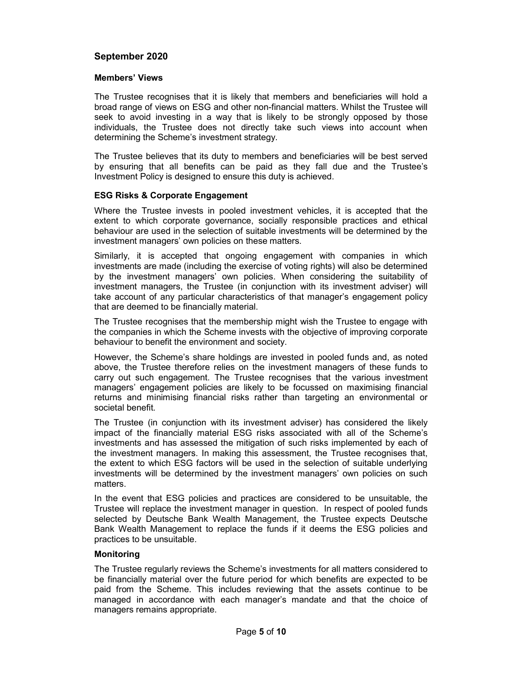#### Members' Views

The Trustee recognises that it is likely that members and beneficiaries will hold a broad range of views on ESG and other non-financial matters. Whilst the Trustee will seek to avoid investing in a way that is likely to be strongly opposed by those individuals, the Trustee does not directly take such views into account when determining the Scheme's investment strategy.

The Trustee believes that its duty to members and beneficiaries will be best served by ensuring that all benefits can be paid as they fall due and the Trustee's Investment Policy is designed to ensure this duty is achieved.

#### ESG Risks & Corporate Engagement

Where the Trustee invests in pooled investment vehicles, it is accepted that the extent to which corporate governance, socially responsible practices and ethical behaviour are used in the selection of suitable investments will be determined by the investment managers' own policies on these matters.

Similarly, it is accepted that ongoing engagement with companies in which investments are made (including the exercise of voting rights) will also be determined by the investment managers' own policies. When considering the suitability of investment managers, the Trustee (in conjunction with its investment adviser) will take account of any particular characteristics of that manager's engagement policy that are deemed to be financially material.

The Trustee recognises that the membership might wish the Trustee to engage with the companies in which the Scheme invests with the objective of improving corporate behaviour to benefit the environment and society.

However, the Scheme's share holdings are invested in pooled funds and, as noted above, the Trustee therefore relies on the investment managers of these funds to carry out such engagement. The Trustee recognises that the various investment managers' engagement policies are likely to be focussed on maximising financial returns and minimising financial risks rather than targeting an environmental or societal benefit.

The Trustee (in conjunction with its investment adviser) has considered the likely impact of the financially material ESG risks associated with all of the Scheme's investments and has assessed the mitigation of such risks implemented by each of the investment managers. In making this assessment, the Trustee recognises that, the extent to which ESG factors will be used in the selection of suitable underlying investments will be determined by the investment managers' own policies on such matters.

In the event that ESG policies and practices are considered to be unsuitable, the Trustee will replace the investment manager in question. In respect of pooled funds selected by Deutsche Bank Wealth Management, the Trustee expects Deutsche Bank Wealth Management to replace the funds if it deems the ESG policies and practices to be unsuitable.

#### **Monitoring**

The Trustee regularly reviews the Scheme's investments for all matters considered to be financially material over the future period for which benefits are expected to be paid from the Scheme. This includes reviewing that the assets continue to be managed in accordance with each manager's mandate and that the choice of managers remains appropriate.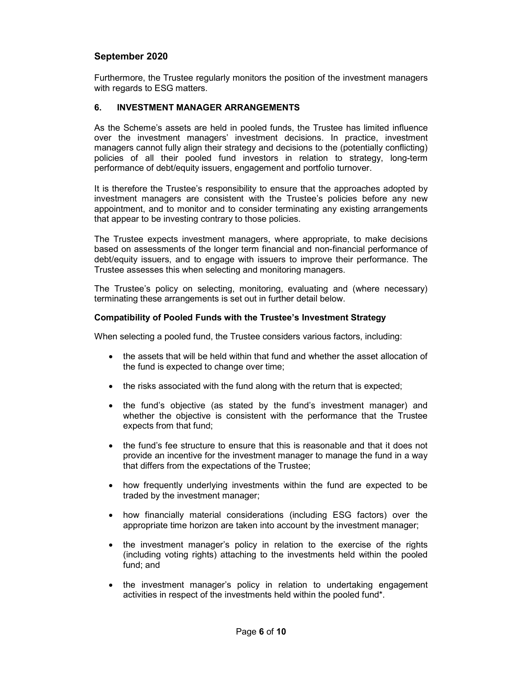Furthermore, the Trustee regularly monitors the position of the investment managers with regards to ESG matters.

### 6. INVESTMENT MANAGER ARRANGEMENTS

As the Scheme's assets are held in pooled funds, the Trustee has limited influence over the investment managers' investment decisions. In practice, investment managers cannot fully align their strategy and decisions to the (potentially conflicting) policies of all their pooled fund investors in relation to strategy, long-term performance of debt/equity issuers, engagement and portfolio turnover.

It is therefore the Trustee's responsibility to ensure that the approaches adopted by investment managers are consistent with the Trustee's policies before any new appointment, and to monitor and to consider terminating any existing arrangements that appear to be investing contrary to those policies.

The Trustee expects investment managers, where appropriate, to make decisions based on assessments of the longer term financial and non-financial performance of debt/equity issuers, and to engage with issuers to improve their performance. The Trustee assesses this when selecting and monitoring managers.

The Trustee's policy on selecting, monitoring, evaluating and (where necessary) terminating these arrangements is set out in further detail below.

#### Compatibility of Pooled Funds with the Trustee's Investment Strategy

When selecting a pooled fund, the Trustee considers various factors, including:

- the assets that will be held within that fund and whether the asset allocation of the fund is expected to change over time;
- the risks associated with the fund along with the return that is expected;
- the fund's objective (as stated by the fund's investment manager) and whether the objective is consistent with the performance that the Trustee expects from that fund;
- the fund's fee structure to ensure that this is reasonable and that it does not provide an incentive for the investment manager to manage the fund in a way that differs from the expectations of the Trustee;
- how frequently underlying investments within the fund are expected to be traded by the investment manager;
- how financially material considerations (including ESG factors) over the appropriate time horizon are taken into account by the investment manager;
- the investment manager's policy in relation to the exercise of the rights (including voting rights) attaching to the investments held within the pooled fund; and
- the investment manager's policy in relation to undertaking engagement activities in respect of the investments held within the pooled fund\*.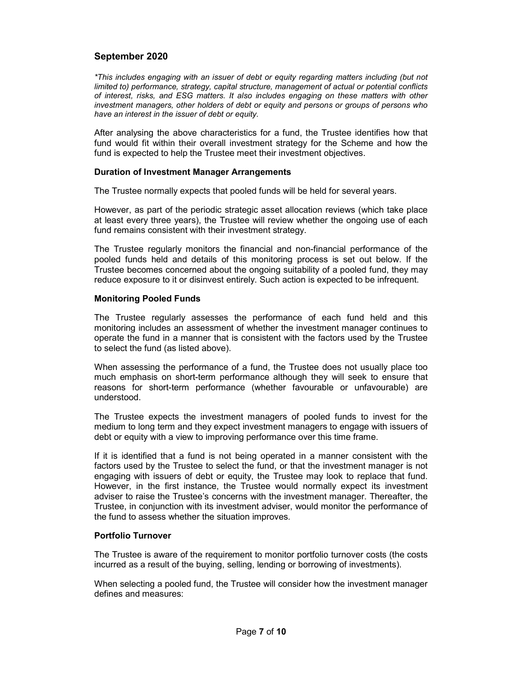\*This includes engaging with an issuer of debt or equity regarding matters including (but not limited to) performance, strategy, capital structure, management of actual or potential conflicts of interest, risks, and ESG matters. It also includes engaging on these matters with other investment managers, other holders of debt or equity and persons or groups of persons who have an interest in the issuer of debt or equity.

After analysing the above characteristics for a fund, the Trustee identifies how that fund would fit within their overall investment strategy for the Scheme and how the fund is expected to help the Trustee meet their investment objectives.

#### Duration of Investment Manager Arrangements

The Trustee normally expects that pooled funds will be held for several years.

However, as part of the periodic strategic asset allocation reviews (which take place at least every three years), the Trustee will review whether the ongoing use of each fund remains consistent with their investment strategy.

The Trustee regularly monitors the financial and non-financial performance of the pooled funds held and details of this monitoring process is set out below. If the Trustee becomes concerned about the ongoing suitability of a pooled fund, they may reduce exposure to it or disinvest entirely. Such action is expected to be infrequent.

#### Monitoring Pooled Funds

The Trustee regularly assesses the performance of each fund held and this monitoring includes an assessment of whether the investment manager continues to operate the fund in a manner that is consistent with the factors used by the Trustee to select the fund (as listed above).

When assessing the performance of a fund, the Trustee does not usually place too much emphasis on short-term performance although they will seek to ensure that reasons for short-term performance (whether favourable or unfavourable) are understood.

The Trustee expects the investment managers of pooled funds to invest for the medium to long term and they expect investment managers to engage with issuers of debt or equity with a view to improving performance over this time frame.

If it is identified that a fund is not being operated in a manner consistent with the factors used by the Trustee to select the fund, or that the investment manager is not engaging with issuers of debt or equity, the Trustee may look to replace that fund. However, in the first instance, the Trustee would normally expect its investment adviser to raise the Trustee's concerns with the investment manager. Thereafter, the Trustee, in conjunction with its investment adviser, would monitor the performance of the fund to assess whether the situation improves.

#### Portfolio Turnover

The Trustee is aware of the requirement to monitor portfolio turnover costs (the costs incurred as a result of the buying, selling, lending or borrowing of investments).

When selecting a pooled fund, the Trustee will consider how the investment manager defines and measures: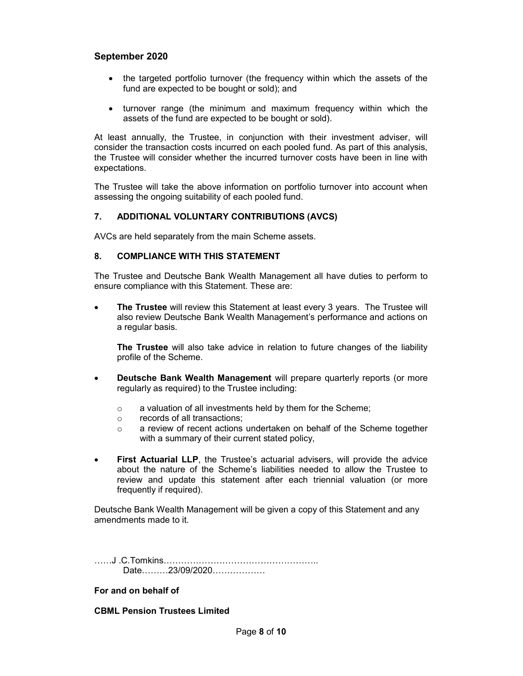- the targeted portfolio turnover (the frequency within which the assets of the fund are expected to be bought or sold); and
- turnover range (the minimum and maximum frequency within which the assets of the fund are expected to be bought or sold).

At least annually, the Trustee, in conjunction with their investment adviser, will consider the transaction costs incurred on each pooled fund. As part of this analysis, the Trustee will consider whether the incurred turnover costs have been in line with expectations.

The Trustee will take the above information on portfolio turnover into account when assessing the ongoing suitability of each pooled fund.

#### 7. ADDITIONAL VOLUNTARY CONTRIBUTIONS (AVCS)

AVCs are held separately from the main Scheme assets.

#### 8. COMPLIANCE WITH THIS STATEMENT

The Trustee and Deutsche Bank Wealth Management all have duties to perform to ensure compliance with this Statement. These are:

• The Trustee will review this Statement at least every 3 years. The Trustee will also review Deutsche Bank Wealth Management's performance and actions on a regular basis.

The Trustee will also take advice in relation to future changes of the liability profile of the Scheme.

- Deutsche Bank Wealth Management will prepare quarterly reports (or more regularly as required) to the Trustee including:
	- o a valuation of all investments held by them for the Scheme;
	- o records of all transactions;
	- o a review of recent actions undertaken on behalf of the Scheme together with a summary of their current stated policy,
- First Actuarial LLP, the Trustee's actuarial advisers, will provide the advice about the nature of the Scheme's liabilities needed to allow the Trustee to review and update this statement after each triennial valuation (or more frequently if required).

Deutsche Bank Wealth Management will be given a copy of this Statement and any amendments made to it.

……J .C.Tomkins…………………………………………….. Date………23/09/2020………………

#### For and on behalf of

#### CBML Pension Trustees Limited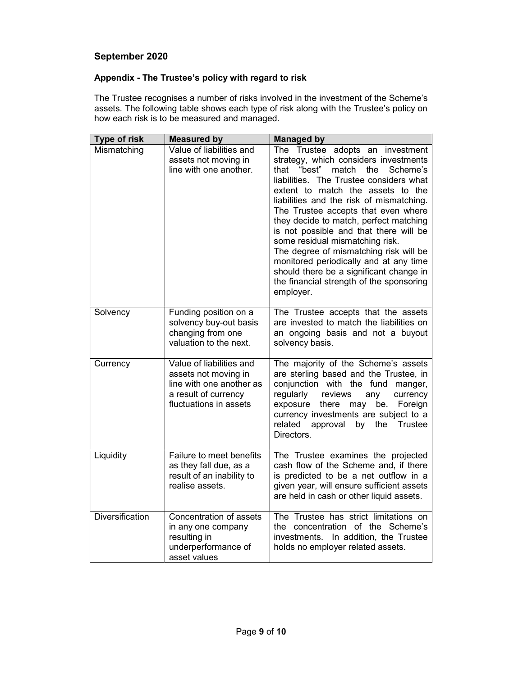# Appendix - The Trustee's policy with regard to risk

The Trustee recognises a number of risks involved in the investment of the Scheme's assets. The following table shows each type of risk along with the Trustee's policy on how each risk is to be measured and managed.

| <b>Type of risk</b>    | <b>Measured by</b>                                                                                                             | <b>Managed by</b>                                                                                                                                                                                                                                                                                                                                                                                                                                                                                                                                                                                         |
|------------------------|--------------------------------------------------------------------------------------------------------------------------------|-----------------------------------------------------------------------------------------------------------------------------------------------------------------------------------------------------------------------------------------------------------------------------------------------------------------------------------------------------------------------------------------------------------------------------------------------------------------------------------------------------------------------------------------------------------------------------------------------------------|
| Mismatching            | Value of liabilities and<br>assets not moving in<br>line with one another.                                                     | The Trustee adopts an investment<br>strategy, which considers investments<br>match<br>Scheme's<br>"best"<br>the<br>that<br>liabilities. The Trustee considers what<br>extent to match the assets to the<br>liabilities and the risk of mismatching.<br>The Trustee accepts that even where<br>they decide to match, perfect matching<br>is not possible and that there will be<br>some residual mismatching risk.<br>The degree of mismatching risk will be<br>monitored periodically and at any time<br>should there be a significant change in<br>the financial strength of the sponsoring<br>employer. |
| Solvency               | Funding position on a<br>solvency buy-out basis<br>changing from one<br>valuation to the next.                                 | The Trustee accepts that the assets<br>are invested to match the liabilities on<br>an ongoing basis and not a buyout<br>solvency basis.                                                                                                                                                                                                                                                                                                                                                                                                                                                                   |
| Currency               | Value of liabilities and<br>assets not moving in<br>line with one another as<br>a result of currency<br>fluctuations in assets | The majority of the Scheme's assets<br>are sterling based and the Trustee, in<br>conjunction with the fund<br>manger,<br>regularly<br>reviews<br>currency<br>any<br>exposure<br>there<br>Foreign<br>may<br>be.<br>currency investments are subject to a<br>related<br>approval by the<br><b>Trustee</b><br>Directors.                                                                                                                                                                                                                                                                                     |
| Liquidity              | Failure to meet benefits<br>as they fall due, as a<br>result of an inability to<br>realise assets.                             | The Trustee examines the projected<br>cash flow of the Scheme and, if there<br>is predicted to be a net outflow in a<br>given year, will ensure sufficient assets<br>are held in cash or other liquid assets.                                                                                                                                                                                                                                                                                                                                                                                             |
| <b>Diversification</b> | Concentration of assets<br>in any one company<br>resulting in<br>underperformance of<br>asset values                           | The Trustee has strict limitations on<br>the concentration of the Scheme's<br>investments. In addition, the Trustee<br>holds no employer related assets.                                                                                                                                                                                                                                                                                                                                                                                                                                                  |